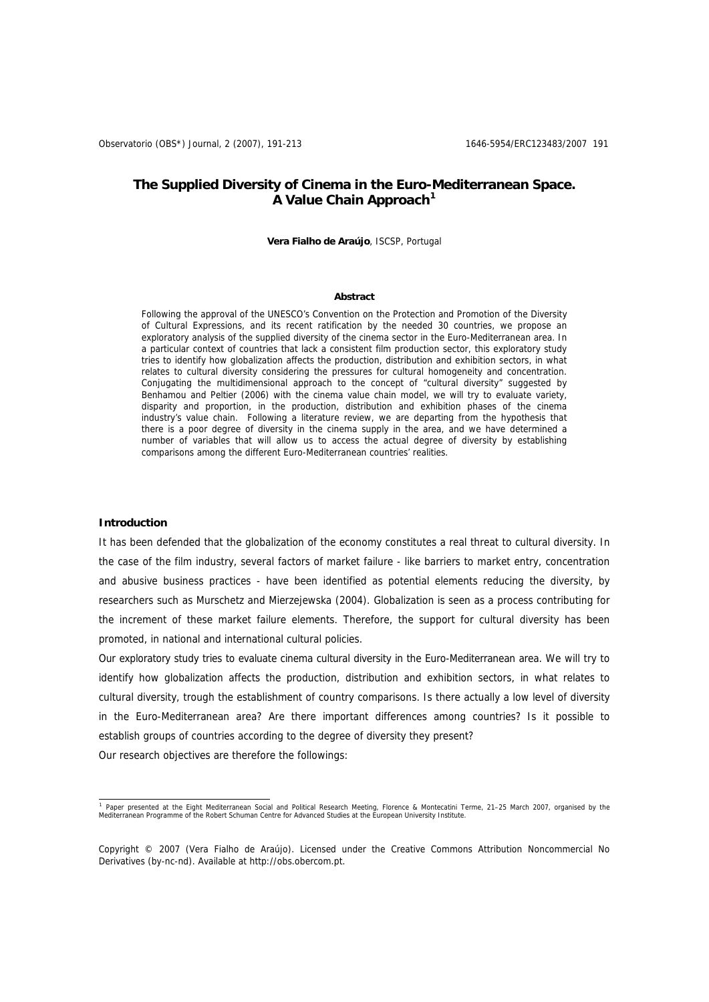# **The Supplied Diversity of Cinema in the Euro-Mediterranean Space. A Value Chain Approach[1](#page-0-0)**

#### **Vera Fialho de Araújo**, ISCSP, Portugal

#### **Abstract**

Following the approval of the UNESCO's Convention on the Protection and Promotion of the Diversity of Cultural Expressions, and its recent ratification by the needed 30 countries, we propose an exploratory analysis of the supplied diversity of the cinema sector in the Euro-Mediterranean area. In a particular context of countries that lack a consistent film production sector, this exploratory study tries to identify how globalization affects the production, distribution and exhibition sectors, in what relates to cultural diversity considering the pressures for cultural homogeneity and concentration. Conjugating the multidimensional approach to the concept of "cultural diversity" suggested by Benhamou and Peltier (2006) with the cinema value chain model, we will try to evaluate variety, disparity and proportion, in the production, distribution and exhibition phases of the cinema industry's value chain. Following a literature review, we are departing from the hypothesis that there is a poor degree of diversity in the cinema supply in the area, and we have determined a number of variables that will allow us to access the actual degree of diversity by establishing comparisons among the different Euro-Mediterranean countries' realities.

### **Introduction**

It has been defended that the globalization of the economy constitutes a real threat to cultural diversity. In the case of the film industry, several factors of market failure - like barriers to market entry, concentration and abusive business practices - have been identified as potential elements reducing the diversity, by researchers such as Murschetz and Mierzejewska (2004). Globalization is seen as a process contributing for the increment of these market failure elements. Therefore, the support for cultural diversity has been promoted, in national and international cultural policies.

Our exploratory study tries to evaluate cinema cultural diversity in the Euro-Mediterranean area. We will try to identify how globalization affects the production, distribution and exhibition sectors, in what relates to cultural diversity, trough the establishment of country comparisons. Is there actually a low level of diversity in the Euro-Mediterranean area? Are there important differences among countries? Is it possible to establish groups of countries according to the degree of diversity they present?

Our research objectives are therefore the followings:

<span id="page-0-0"></span> 1 Paper presented at the Eight Mediterranean Social and Political Research Meeting, Florence & Montecatini Terme, 21–25 March 2007, organised by the Mediterranean Programme of the Robert Schuman Centre for Advanced Studies at the European University Institute.

Copyright © 2007 (Vera Fialho de Araújo). Licensed under the Creative Commons Attribution Noncommercial No Derivatives (by-nc-nd). Available at http://obs.obercom.pt.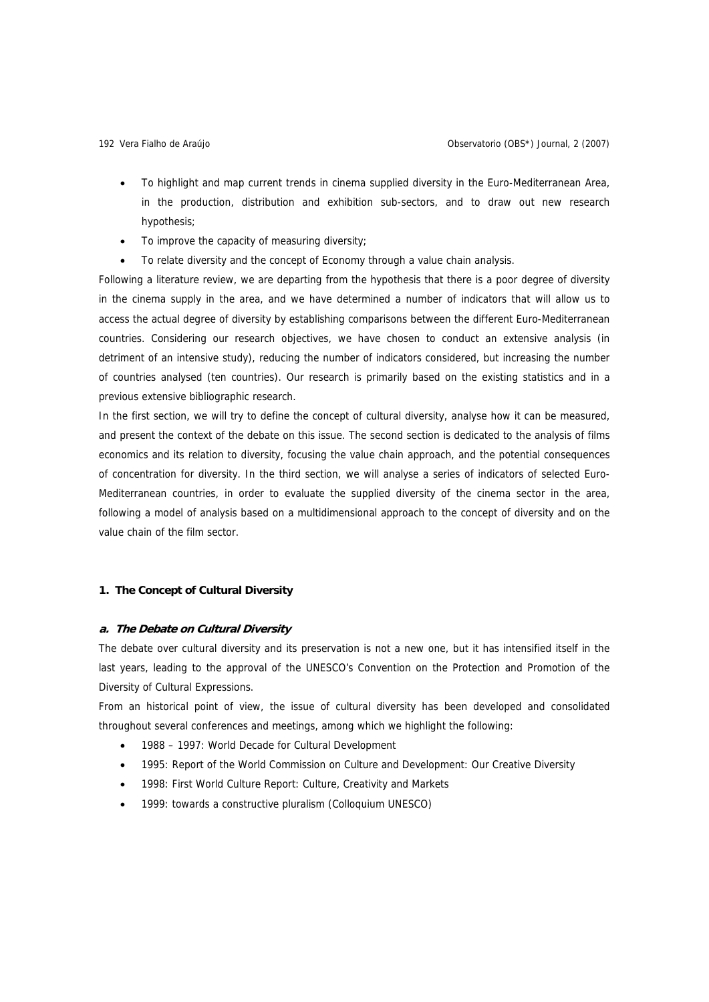- To highlight and map current trends in cinema supplied diversity in the Euro-Mediterranean Area, in the production, distribution and exhibition sub-sectors, and to draw out new research hypothesis;
- To improve the capacity of measuring diversity;
- To relate diversity and the concept of Economy through a value chain analysis.

Following a literature review, we are departing from the hypothesis that there is a poor degree of diversity in the cinema supply in the area, and we have determined a number of indicators that will allow us to access the actual degree of diversity by establishing comparisons between the different Euro-Mediterranean countries. Considering our research objectives, we have chosen to conduct an extensive analysis (in detriment of an intensive study), reducing the number of indicators considered, but increasing the number of countries analysed (ten countries). Our research is primarily based on the existing statistics and in a previous extensive bibliographic research.

In the first section, we will try to define the concept of cultural diversity, analyse how it can be measured, and present the context of the debate on this issue. The second section is dedicated to the analysis of films economics and its relation to diversity, focusing the value chain approach, and the potential consequences of concentration for diversity. In the third section, we will analyse a series of indicators of selected Euro-Mediterranean countries, in order to evaluate the supplied diversity of the cinema sector in the area, following a model of analysis based on a multidimensional approach to the concept of diversity and on the value chain of the film sector.

## **1. The Concept of Cultural Diversity**

### **a. The Debate on Cultural Diversity**

The debate over cultural diversity and its preservation is not a new one, but it has intensified itself in the last years, leading to the approval of the UNESCO's Convention on the Protection and Promotion of the Diversity of Cultural Expressions.

From an historical point of view, the issue of cultural diversity has been developed and consolidated throughout several conferences and meetings, among which we highlight the following:

- 1988 1997: World Decade for Cultural Development
- 1995: Report of the World Commission on Culture and Development: Our Creative Diversity
- 1998: First World Culture Report: Culture, Creativity and Markets
- 1999: towards a constructive pluralism (Colloquium UNESCO)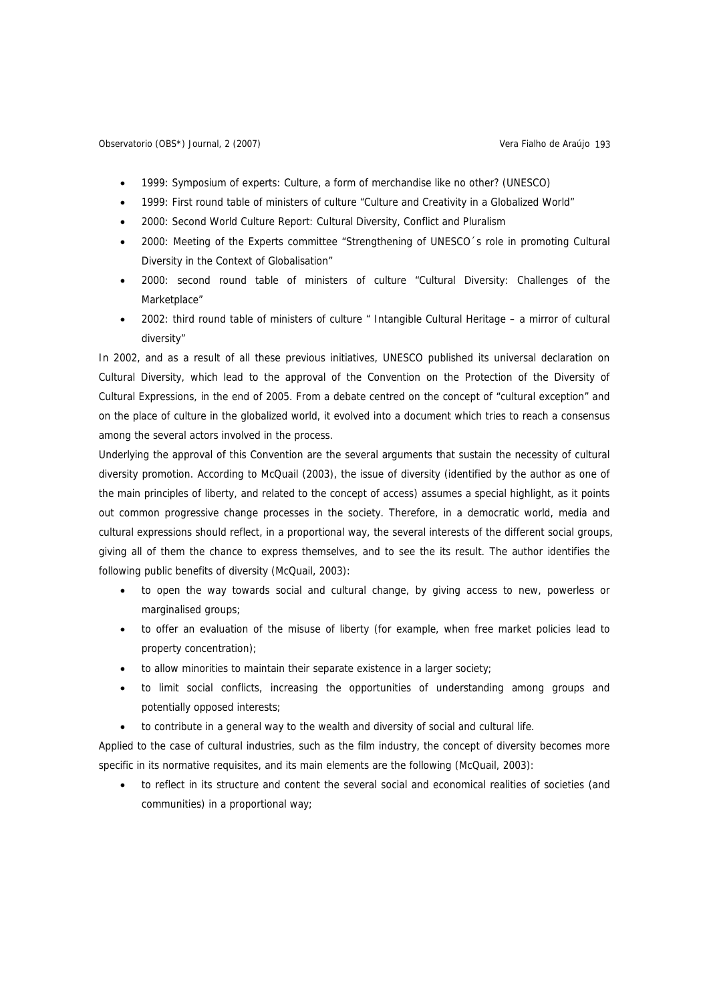- 1999: Symposium of experts: Culture, a form of merchandise like no other? (UNESCO)
- 1999: First round table of ministers of culture "Culture and Creativity in a Globalized World"
- 2000: Second World Culture Report: Cultural Diversity, Conflict and Pluralism
- 2000: Meeting of the Experts committee "Strengthening of UNESCO´s role in promoting Cultural Diversity in the Context of Globalisation"
- 2000: second round table of ministers of culture "Cultural Diversity: Challenges of the Marketplace"
- 2002: third round table of ministers of culture " Intangible Cultural Heritage a mirror of cultural diversity"

In 2002, and as a result of all these previous initiatives, UNESCO published its universal declaration on Cultural Diversity, which lead to the approval of the Convention on the Protection of the Diversity of Cultural Expressions, in the end of 2005. From a debate centred on the concept of "cultural exception" and on the place of culture in the globalized world, it evolved into a document which tries to reach a consensus among the several actors involved in the process.

Underlying the approval of this Convention are the several arguments that sustain the necessity of cultural diversity promotion. According to McQuail (2003), the issue of diversity (identified by the author as one of the main principles of liberty, and related to the concept of access) assumes a special highlight, as it points out common progressive change processes in the society. Therefore, in a democratic world, media and cultural expressions should reflect, in a proportional way, the several interests of the different social groups, giving all of them the chance to express themselves, and to see the its result. The author identifies the following public benefits of diversity (McQuail, 2003):

- to open the way towards social and cultural change, by giving access to new, powerless or marginalised groups;
- to offer an evaluation of the misuse of liberty (for example, when free market policies lead to property concentration);
- to allow minorities to maintain their separate existence in a larger society;
- to limit social conflicts, increasing the opportunities of understanding among groups and potentially opposed interests;
- to contribute in a general way to the wealth and diversity of social and cultural life.

Applied to the case of cultural industries, such as the film industry, the concept of diversity becomes more specific in its normative requisites, and its main elements are the following (McQuail, 2003):

• to reflect in its structure and content the several social and economical realities of societies (and communities) in a proportional way;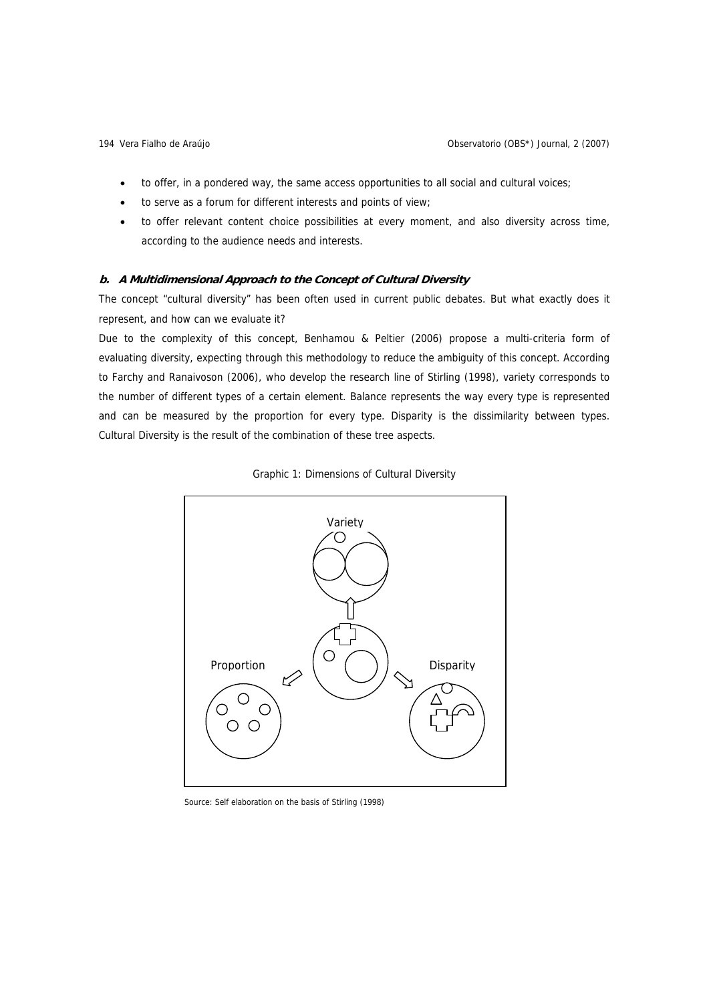- to offer, in a pondered way, the same access opportunities to all social and cultural voices;
- to serve as a forum for different interests and points of view;
- to offer relevant content choice possibilities at every moment, and also diversity across time, according to the audience needs and interests.

## **b. A Multidimensional Approach to the Concept of Cultural Diversity**

The concept "cultural diversity" has been often used in current public debates. But what exactly does it represent, and how can we evaluate it?

Due to the complexity of this concept, Benhamou & Peltier (2006) propose a multi-criteria form of evaluating diversity, expecting through this methodology to reduce the ambiguity of this concept. According to Farchy and Ranaivoson (2006), who develop the research line of Stirling (1998), variety corresponds to the number of different types of a certain element. Balance represents the way every type is represented and can be measured by the proportion for every type. Disparity is the dissimilarity between types. Cultural Diversity is the result of the combination of these tree aspects.





Source: Self elaboration on the basis of Stirling (1998)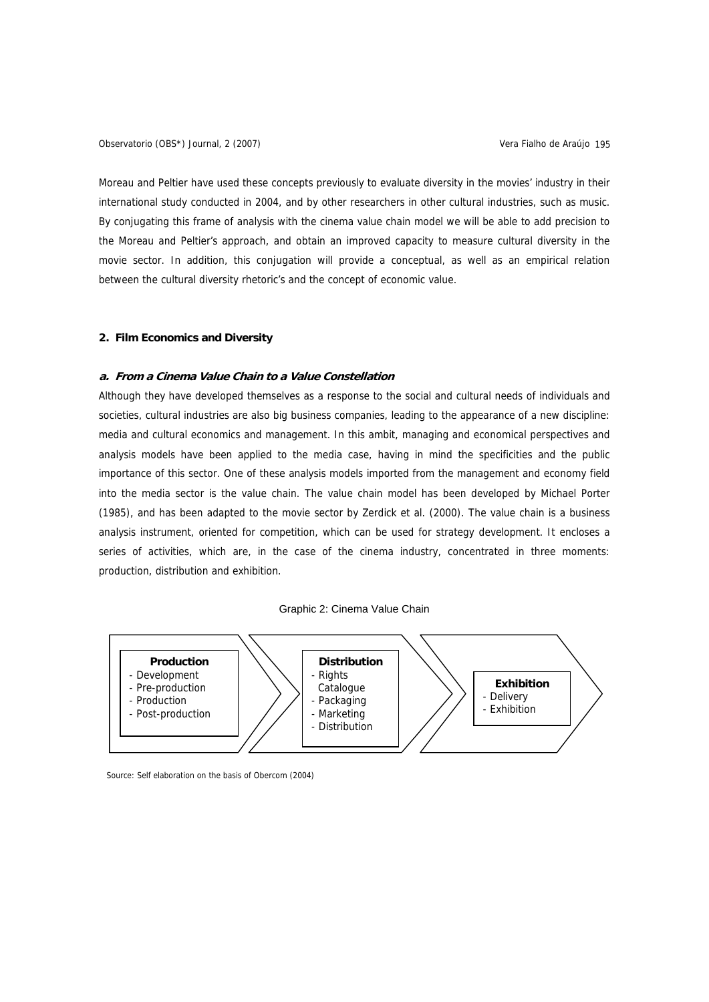Observatorio (OBS\*) Journal, 2 (2007) Vera Fialho de Araújo 195

Moreau and Peltier have used these concepts previously to evaluate diversity in the movies' industry in their international study conducted in 2004, and by other researchers in other cultural industries, such as music. By conjugating this frame of analysis with the cinema value chain model we will be able to add precision to the Moreau and Peltier's approach, and obtain an improved capacity to measure cultural diversity in the movie sector. In addition, this conjugation will provide a conceptual, as well as an empirical relation between the cultural diversity rhetoric's and the concept of economic value.

## **2. Film Economics and Diversity**

#### **a. From a Cinema Value Chain to a Value Constellation**

Although they have developed themselves as a response to the social and cultural needs of individuals and societies, cultural industries are also big business companies, leading to the appearance of a new discipline: media and cultural economics and management. In this ambit, managing and economical perspectives and analysis models have been applied to the media case, having in mind the specificities and the public importance of this sector. One of these analysis models imported from the management and economy field into the media sector is the value chain. The value chain model has been developed by Michael Porter (1985), and has been adapted to the movie sector by Zerdick et al. (2000). The value chain is a business analysis instrument, oriented for competition, which can be used for strategy development. It encloses a series of activities, which are, in the case of the cinema industry, concentrated in three moments: production, distribution and exhibition.

### Graphic 2: Cinema Value Chain



Source: Self elaboration on the basis of Obercom (2004)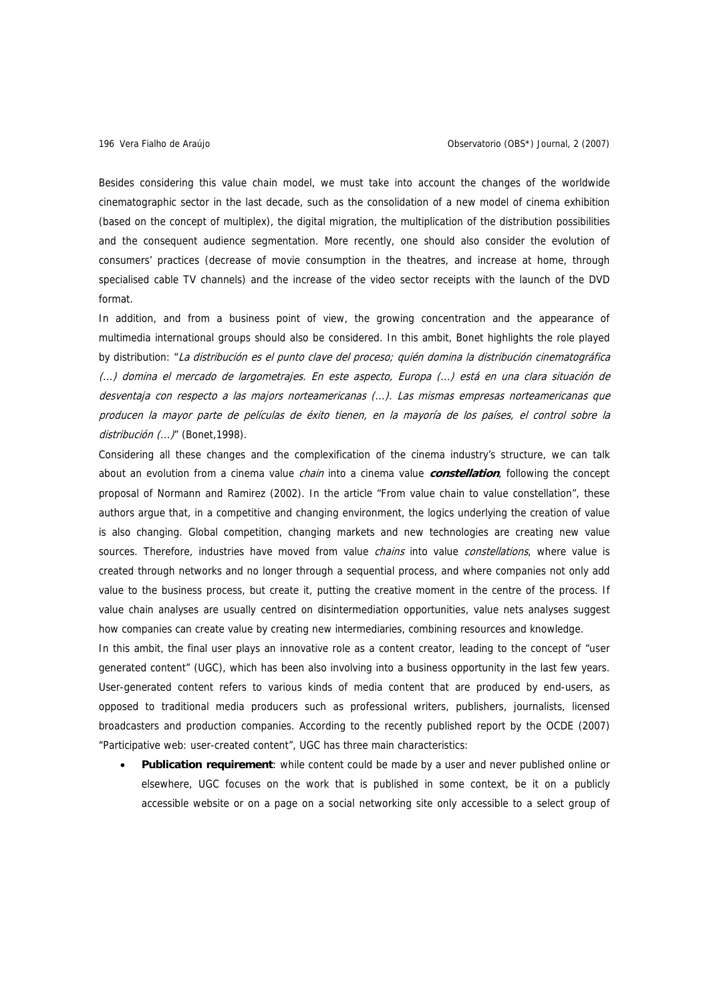Besides considering this value chain model, we must take into account the changes of the worldwide cinematographic sector in the last decade, such as the consolidation of a new model of cinema exhibition (based on the concept of multiplex), the digital migration, the multiplication of the distribution possibilities and the consequent audience segmentation. More recently, one should also consider the evolution of consumers' practices (decrease of movie consumption in the theatres, and increase at home, through specialised cable TV channels) and the increase of the video sector receipts with the launch of the DVD format.

In addition, and from a business point of view, the growing concentration and the appearance of multimedia international groups should also be considered. In this ambit, Bonet highlights the role played by distribution: "La distribución es el punto clave del proceso; quién domina la distribución cinematográfica (...) domina el mercado de largometrajes. En este aspecto, Europa (...) está en una clara situación de desventaja con respecto a las majors norteamericanas (...). Las mismas empresas norteamericanas que producen la mayor parte de películas de éxito tienen, en la mayoría de los países, el control sobre la distribución (...)" (Bonet, 1998).

Considering all these changes and the complexification of the cinema industry's structure, we can talk about an evolution from a cinema value chain into a cinema value **constellation**, following the concept proposal of Normann and Ramirez (2002). In the article "From value chain to value constellation", these authors argue that, in a competitive and changing environment, the logics underlying the creation of value is also changing. Global competition, changing markets and new technologies are creating new value sources. Therefore, industries have moved from value *chains* into value *constellations*, where value is created through networks and no longer through a sequential process, and where companies not only add value to the business process, but create it, putting the creative moment in the centre of the process. If value chain analyses are usually centred on disintermediation opportunities, value nets analyses suggest how companies can create value by creating new intermediaries, combining resources and knowledge.

In this ambit, the final user plays an innovative role as a content creator, leading to the concept of "user generated content" (UGC), which has been also involving into a business opportunity in the last few years. User-generated content refers to various kinds of media content that are produced by end-users, as opposed to traditional media producers such as professional writers, publishers, journalists, licensed broadcasters and production companies. According to the recently published report by the OCDE (2007) "Participative web: user-created content", UGC has three main characteristics:

• **Publication requirement**: while content could be made by a user and never published online or elsewhere, UGC focuses on the work that is published in some context, be it on a publicly accessible website or on a page on a social networking site only accessible to a select group of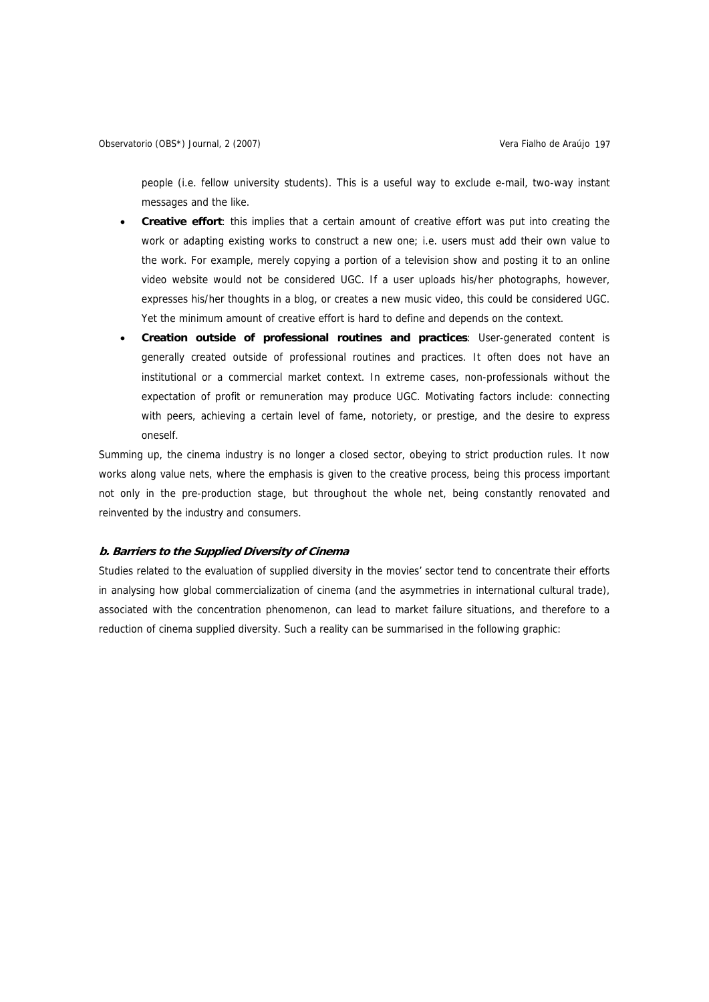people (i.e. fellow university students). This is a useful way to exclude e-mail, two-way instant messages and the like.

- **Creative effort**: this implies that a certain amount of creative effort was put into creating the work or adapting existing works to construct a new one; i.e. users must add their own value to the work. For example, merely copying a portion of a television show and posting it to an online video website would not be considered UGC. If a user uploads his/her photographs, however, expresses his/her thoughts in a blog, or creates a new music video, this could be considered UGC. Yet the minimum amount of creative effort is hard to define and depends on the context.
- **Creation outside of professional routines and practices**: User-generated content is generally created outside of professional routines and practices. It often does not have an institutional or a commercial market context. In extreme cases, non-professionals without the expectation of profit or remuneration may produce UGC. Motivating factors include: connecting with peers, achieving a certain level of fame, notoriety, or prestige, and the desire to express oneself.

Summing up, the cinema industry is no longer a closed sector, obeying to strict production rules. It now works along value nets, where the emphasis is given to the creative process, being this process important not only in the pre-production stage, but throughout the whole net, being constantly renovated and reinvented by the industry and consumers.

## **b. Barriers to the Supplied Diversity of Cinema**

Studies related to the evaluation of supplied diversity in the movies' sector tend to concentrate their efforts in analysing how global commercialization of cinema (and the asymmetries in international cultural trade), associated with the concentration phenomenon, can lead to market failure situations, and therefore to a reduction of cinema supplied diversity. Such a reality can be summarised in the following graphic: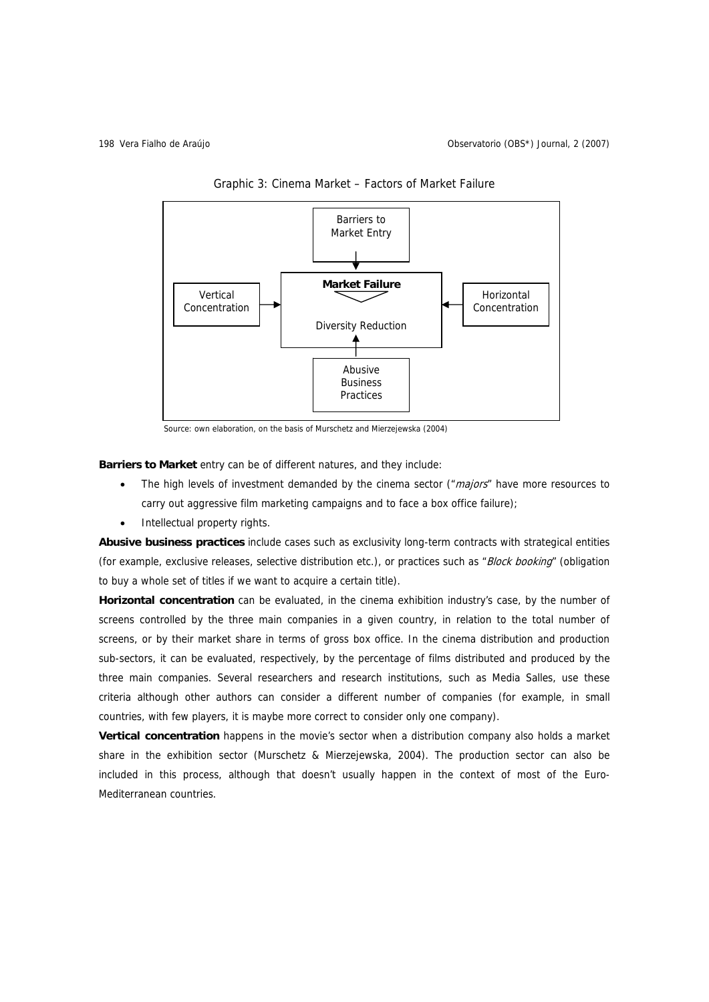

Graphic 3: Cinema Market – Factors of Market Failure

Source: own elaboration, on the basis of Murschetz and Mierzejewska (2004)

**Barriers to Market** entry can be of different natures, and they include:

- The high levels of investment demanded by the cinema sector ( $\mu$ majors" have more resources to carry out aggressive film marketing campaigns and to face a box office failure);
- Intellectual property rights.

**Abusive business practices** include cases such as exclusivity long-term contracts with strategical entities (for example, exclusive releases, selective distribution etc.), or practices such as "Block booking" (obligation to buy a whole set of titles if we want to acquire a certain title).

**Horizontal concentration** can be evaluated, in the cinema exhibition industry's case, by the number of screens controlled by the three main companies in a given country, in relation to the total number of screens, or by their market share in terms of gross box office. In the cinema distribution and production sub-sectors, it can be evaluated, respectively, by the percentage of films distributed and produced by the three main companies. Several researchers and research institutions, such as Media Salles, use these criteria although other authors can consider a different number of companies (for example, in small countries, with few players, it is maybe more correct to consider only one company).

**Vertical concentration** happens in the movie's sector when a distribution company also holds a market share in the exhibition sector (Murschetz & Mierzejewska, 2004). The production sector can also be included in this process, although that doesn't usually happen in the context of most of the Euro-Mediterranean countries.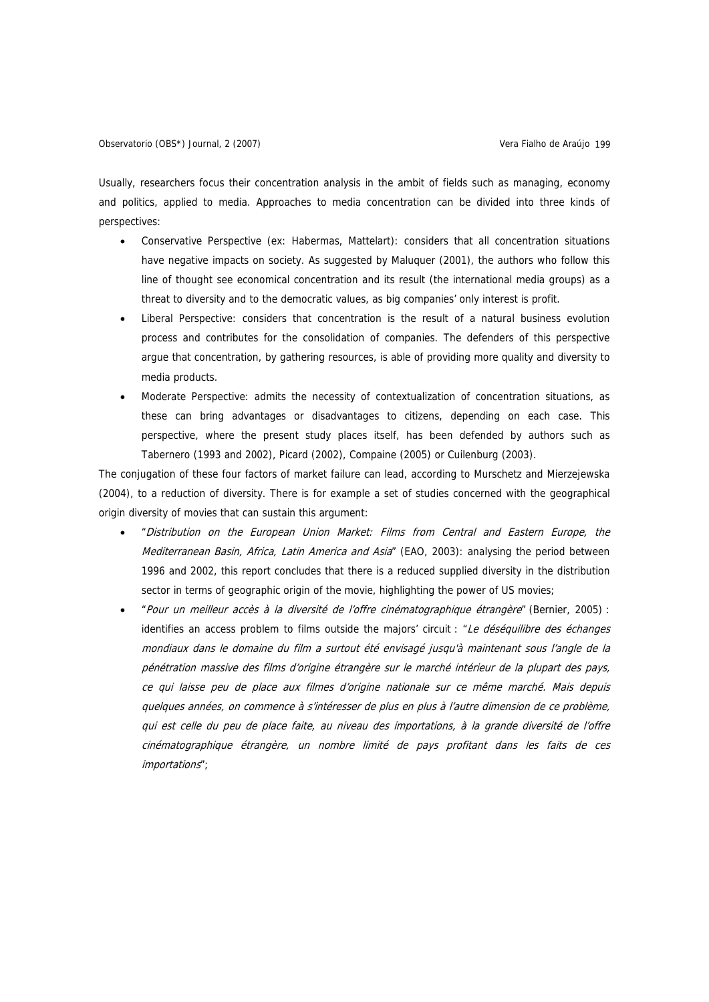Usually, researchers focus their concentration analysis in the ambit of fields such as managing, economy and politics, applied to media. Approaches to media concentration can be divided into three kinds of perspectives:

- Conservative Perspective (ex: Habermas, Mattelart): considers that all concentration situations have negative impacts on society. As suggested by Maluquer (2001), the authors who follow this line of thought see economical concentration and its result (the international media groups) as a threat to diversity and to the democratic values, as big companies' only interest is profit.
- Liberal Perspective: considers that concentration is the result of a natural business evolution process and contributes for the consolidation of companies. The defenders of this perspective argue that concentration, by gathering resources, is able of providing more quality and diversity to media products.
- Moderate Perspective: admits the necessity of contextualization of concentration situations, as these can bring advantages or disadvantages to citizens, depending on each case. This perspective, where the present study places itself, has been defended by authors such as Tabernero (1993 and 2002), Picard (2002), Compaine (2005) or Cuilenburg (2003).

The conjugation of these four factors of market failure can lead, according to Murschetz and Mierzejewska (2004), to a reduction of diversity. There is for example a set of studies concerned with the geographical origin diversity of movies that can sustain this argument:

- "Distribution on the European Union Market: Films from Central and Eastern Europe, the Mediterranean Basin, Africa, Latin America and Asia" (EAO, 2003): analysing the period between 1996 and 2002, this report concludes that there is a reduced supplied diversity in the distribution sector in terms of geographic origin of the movie, highlighting the power of US movies;
- "Pour un meilleur accès à la diversité de l'offre cinématographique étrangère" (Bernier, 2005) : identifies an access problem to films outside the majors' circuit : "Le déséquilibre des échanges mondiaux dans le domaine du film a surtout été envisagé jusqu'à maintenant sous l'angle de la pénétration massive des films d'origine étrangère sur le marché intérieur de la plupart des pays, ce qui laisse peu de place aux filmes d'origine nationale sur ce même marché. Mais depuis quelques années, on commence à s'intéresser de plus en plus à l'autre dimension de ce problème, qui est celle du peu de place faite, au niveau des importations, à la grande diversité de l'offre cinématographique étrangère, un nombre limité de pays profitant dans les faits de ces importations";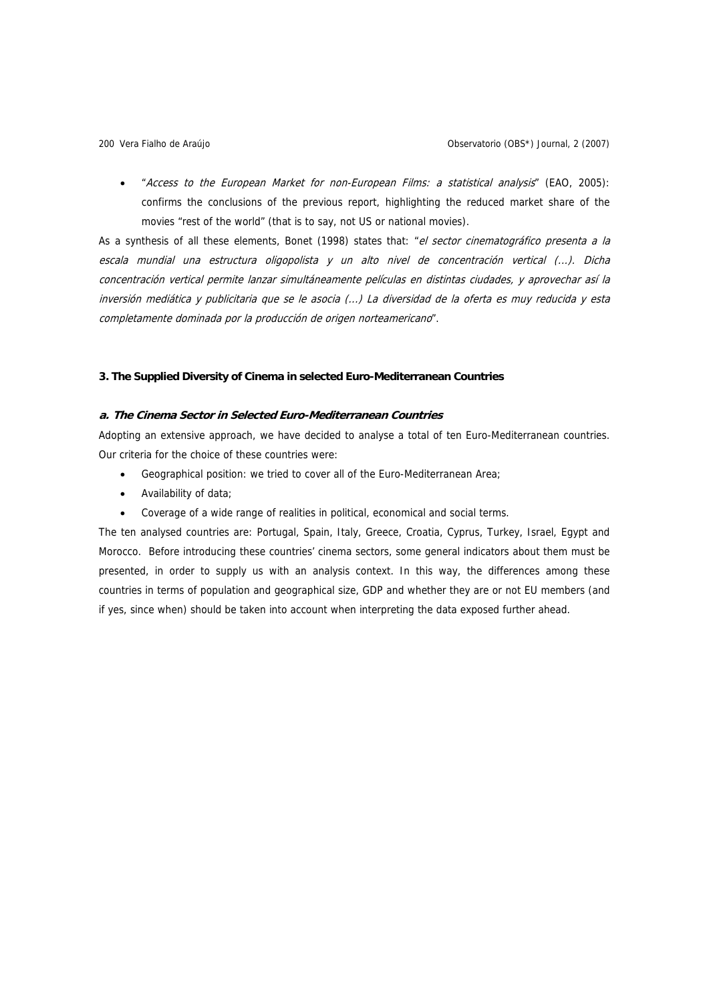• "Access to the European Market for non-European Films: a statistical analysis" (EAO, 2005): confirms the conclusions of the previous report, highlighting the reduced market share of the movies "rest of the world" (that is to say, not US or national movies).

As a synthesis of all these elements, Bonet (1998) states that: "el sector cinematográfico presenta a la escala mundial una estructura oligopolista y un alto nivel de concentración vertical (...). Dicha concentración vertical permite lanzar simultáneamente películas en distintas ciudades, y aprovechar así la inversión mediática y publicitaria que se le asocia (...) La diversidad de la oferta es muy reducida y esta completamente dominada por la producción de origen norteamericano".

### **3. The Supplied Diversity of Cinema in selected Euro-Mediterranean Countries**

# **a. The Cinema Sector in Selected Euro-Mediterranean Countries**

Adopting an extensive approach, we have decided to analyse a total of ten Euro-Mediterranean countries. Our criteria for the choice of these countries were:

- Geographical position: we tried to cover all of the Euro-Mediterranean Area;
- Availability of data;
- Coverage of a wide range of realities in political, economical and social terms.

The ten analysed countries are: Portugal, Spain, Italy, Greece, Croatia, Cyprus, Turkey, Israel, Egypt and Morocco. Before introducing these countries' cinema sectors, some general indicators about them must be presented, in order to supply us with an analysis context. In this way, the differences among these countries in terms of population and geographical size, GDP and whether they are or not EU members (and if yes, since when) should be taken into account when interpreting the data exposed further ahead.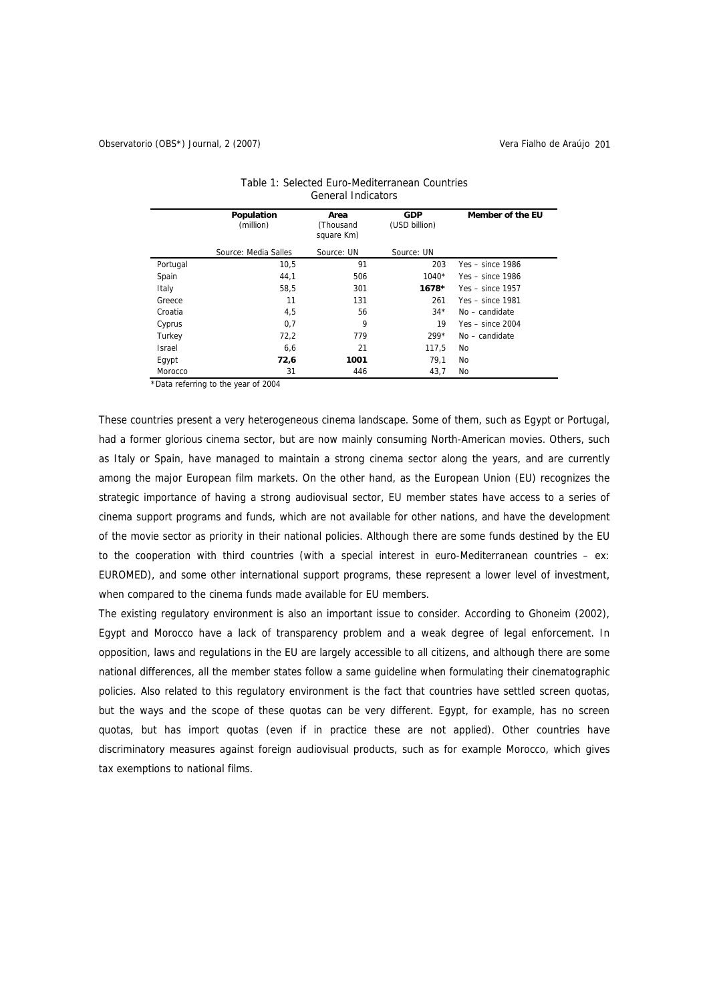|               | Population<br>(million) | Area<br>(Thousand<br>square Km) | <b>GDP</b><br>(USD billion) | Member of the EU   |
|---------------|-------------------------|---------------------------------|-----------------------------|--------------------|
|               | Source: Media Salles    | Source: UN                      | Source: UN                  |                    |
| Portugal      | 10,5                    | 91                              | 203                         | $Yes - since 1986$ |
| Spain         | 44,1                    | 506                             | $1040*$                     | Yes $-$ since 1986 |
| Italy         | 58,5                    | 301                             | $1678*$                     | $Yes - since 1957$ |
| Greece        | 11                      | 131                             | 261                         | $Yes - since 1981$ |
| Croatia       | 4,5                     | 56                              | $34*$                       | $No - candidate$   |
| Cyprus        | 0,7                     | 9                               | 19                          | $Yes - since 2004$ |
| Turkey        | 72,2                    | 779                             | $299*$                      | No - candidate     |
| <b>Israel</b> | 6,6                     | 21                              | 117.5                       | No                 |
| Egypt         | 72,6                    | 1001                            | 79,1                        | No                 |
| Morocco       | 31                      | 446                             | 43,7                        | No                 |

| Table 1: Selected Euro-Mediterranean Countries |
|------------------------------------------------|
| General Indicators                             |

\*Data referring to the year of 2004

These countries present a very heterogeneous cinema landscape. Some of them, such as Egypt or Portugal, had a former glorious cinema sector, but are now mainly consuming North-American movies. Others, such as Italy or Spain, have managed to maintain a strong cinema sector along the years, and are currently among the major European film markets. On the other hand, as the European Union (EU) recognizes the strategic importance of having a strong audiovisual sector, EU member states have access to a series of cinema support programs and funds, which are not available for other nations, and have the development of the movie sector as priority in their national policies. Although there are some funds destined by the EU to the cooperation with third countries (with a special interest in euro-Mediterranean countries – ex: EUROMED), and some other international support programs, these represent a lower level of investment, when compared to the cinema funds made available for EU members.

The existing regulatory environment is also an important issue to consider. According to Ghoneim (2002), Egypt and Morocco have a lack of transparency problem and a weak degree of legal enforcement. In opposition, laws and regulations in the EU are largely accessible to all citizens, and although there are some national differences, all the member states follow a same guideline when formulating their cinematographic policies. Also related to this regulatory environment is the fact that countries have settled screen quotas, but the ways and the scope of these quotas can be very different. Egypt, for example, has no screen quotas, but has import quotas (even if in practice these are not applied). Other countries have discriminatory measures against foreign audiovisual products, such as for example Morocco, which gives tax exemptions to national films.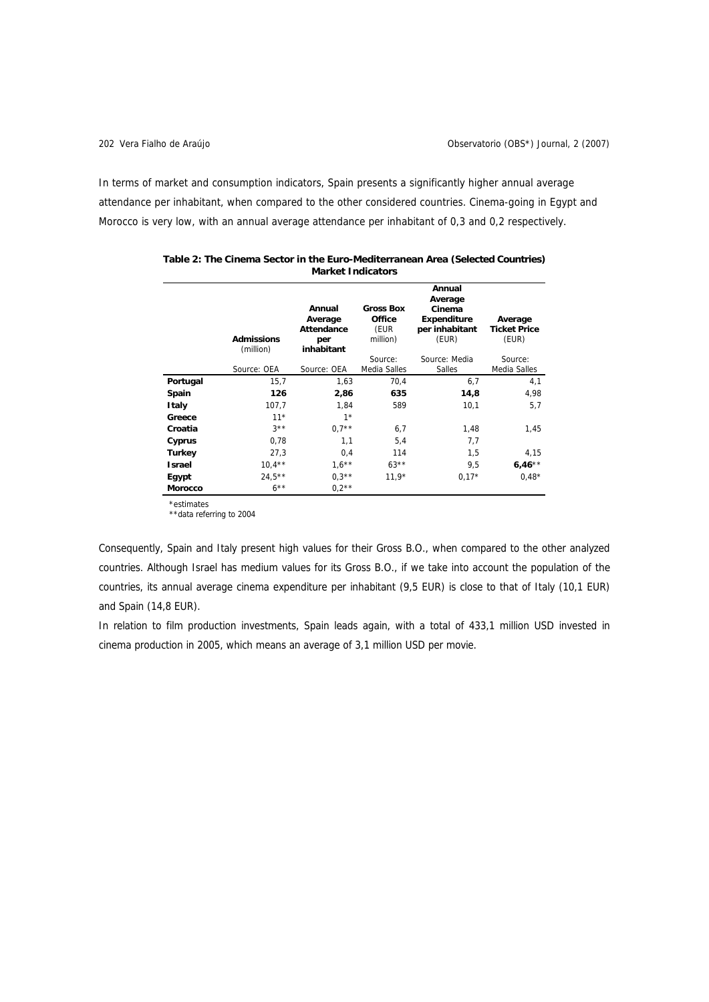$\overline{a}$ 

In terms of market and consumption indicators, Spain presents a significantly higher annual average attendance per inhabitant, when compared to the other considered countries. Cinema-going in Egypt and Morocco is very low, with an annual average attendance per inhabitant of 0,3 and 0,2 respectively.

|               |                                |                                                      | Annual<br>Average                              |                                                         |                                         |  |  |
|---------------|--------------------------------|------------------------------------------------------|------------------------------------------------|---------------------------------------------------------|-----------------------------------------|--|--|
|               | <b>Admissions</b><br>(million) | Annual<br>Average<br>Attendance<br>per<br>inhabitant | <b>Gross Box</b><br>Office<br>(EUR<br>million) | Cinema<br><b>Expenditure</b><br>per inhabitant<br>(EUR) | Average<br><b>Ticket Price</b><br>(EUR) |  |  |
|               | Source: OEA                    | Source: OEA                                          | Source:<br>Media Salles                        | Source: Media<br>Salles                                 | Source:<br>Media Salles                 |  |  |
| Portugal      | 15,7                           | 1,63                                                 | 70,4                                           | 6,7                                                     | 4,1                                     |  |  |
| Spain         | 126                            | 2,86                                                 | 635                                            | 14,8                                                    | 4,98                                    |  |  |
| Italy         | 107,7                          | 1,84                                                 | 589                                            | 10,1                                                    | 5,7                                     |  |  |
| Greece        | $11*$                          | $1*$                                                 |                                                |                                                         |                                         |  |  |
| Croatia       | $3***$                         | $0.7**$                                              | 6,7                                            | 1,48                                                    | 1,45                                    |  |  |
| Cyprus        | 0,78                           | 1,1                                                  | 5,4                                            | 7,7                                                     |                                         |  |  |
| <b>Turkey</b> | 27,3                           | 0,4                                                  | 114                                            | 1,5                                                     | 4,15                                    |  |  |
| <b>Israel</b> | $10,4***$                      | $1.6***$                                             | $63***$                                        | 9,5                                                     | $6,46**$                                |  |  |
| Egypt         | $24.5***$                      | $0.3**$                                              | $11.9*$                                        | $0.17*$                                                 | $0.48*$                                 |  |  |
| Morocco       | $6***$                         | $0.2**$                                              |                                                |                                                         |                                         |  |  |

| Table 2: The Cinema Sector in the Euro-Mediterranean Area (Selected Countries) |
|--------------------------------------------------------------------------------|
| <b>Market Indicators</b>                                                       |

\*estimates

\*\*data referring to 2004

Consequently, Spain and Italy present high values for their Gross B.O., when compared to the other analyzed countries. Although Israel has medium values for its Gross B.O., if we take into account the population of the countries, its annual average cinema expenditure per inhabitant (9,5 EUR) is close to that of Italy (10,1 EUR) and Spain (14,8 EUR).

In relation to film production investments, Spain leads again, with a total of 433,1 million USD invested in cinema production in 2005, which means an average of 3,1 million USD per movie.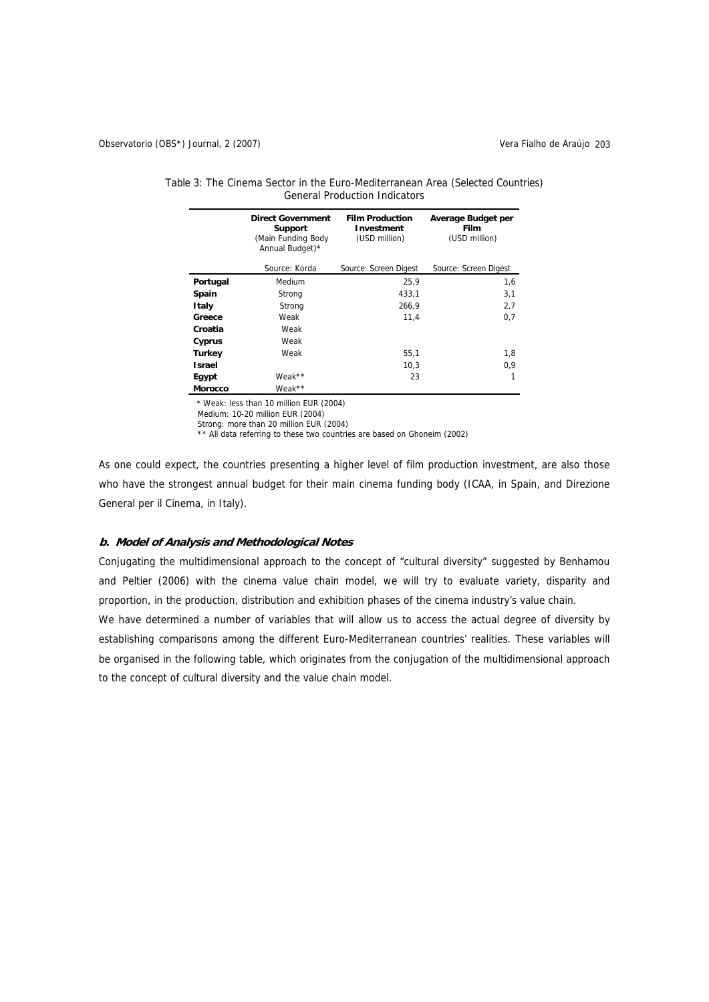|                | <b>Direct Government</b><br><b>Support</b><br>(Main Funding Body<br>Annual Budget)* | <b>Film Production</b><br>Investment<br>(USD million) | Average Budget per<br>Film<br>(USD million) |
|----------------|-------------------------------------------------------------------------------------|-------------------------------------------------------|---------------------------------------------|
|                | Source: Korda                                                                       | Source: Screen Digest                                 | Source: Screen Digest                       |
| Portugal       | Medium                                                                              | 25.9                                                  | 1,6                                         |
| Spain          | Strong                                                                              | 433,1                                                 | 3,1                                         |
| Italy          | Strong                                                                              | 266,9                                                 | 2,7                                         |
| Greece         | Weak                                                                                | 11.4                                                  | 0,7                                         |
| Croatia        | Weak                                                                                |                                                       |                                             |
| Cyprus         | Weak                                                                                |                                                       |                                             |
| <b>Turkey</b>  | Weak                                                                                | 55,1                                                  | 1,8                                         |
| <b>Israel</b>  |                                                                                     | 10,3                                                  | 0,9                                         |
| Egypt          | Weak**                                                                              | 23                                                    |                                             |
| <b>Morocco</b> | Weak**                                                                              |                                                       |                                             |

| Table 3: The Cinema Sector in the Euro-Mediterranean Area (Selected Countries) |  |
|--------------------------------------------------------------------------------|--|
| <b>General Production Indicators</b>                                           |  |

\* Weak: less than 10 million EUR (2004)

Medium: 10-20 million EUR (2004)

Strong: more than 20 million EUR (2004)

\*\* All data referring to these two countries are based on Ghoneim (2002)

As one could expect, the countries presenting a higher level of film production investment, are also those who have the strongest annual budget for their main cinema funding body (ICAA, in Spain, and Direzione General per il Cinema, in Italy).

# **b. Model of Analysis and Methodological Notes**

Conjugating the multidimensional approach to the concept of "cultural diversity" suggested by Benhamou and Peltier (2006) with the cinema value chain model, we will try to evaluate variety, disparity and proportion, in the production, distribution and exhibition phases of the cinema industry's value chain.

We have determined a number of variables that will allow us to access the actual degree of diversity by establishing comparisons among the different Euro-Mediterranean countries' realities. These variables will be organised in the following table, which originates from the conjugation of the multidimensional approach to the concept of cultural diversity and the value chain model.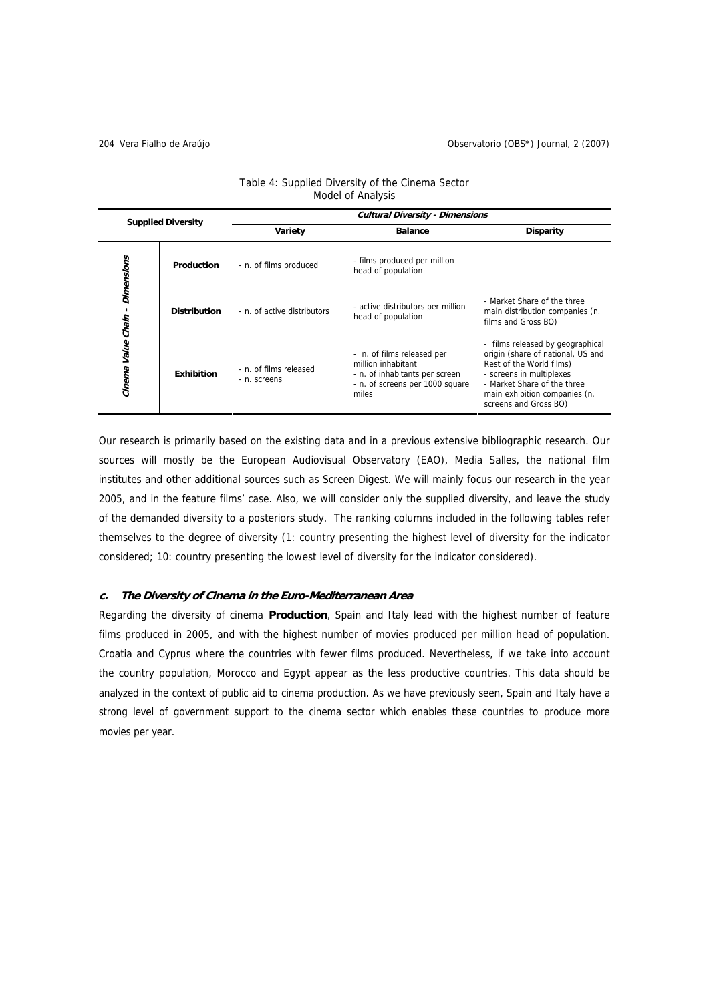|                           |                                                             | <b>Cultural Diversity - Dimensions</b> |                                                                                                                                |                                                                                                                                                                                                                        |  |  |  |  |
|---------------------------|-------------------------------------------------------------|----------------------------------------|--------------------------------------------------------------------------------------------------------------------------------|------------------------------------------------------------------------------------------------------------------------------------------------------------------------------------------------------------------------|--|--|--|--|
| <b>Supplied Diversity</b> |                                                             | Variety                                | <b>Balance</b>                                                                                                                 | <b>Disparity</b>                                                                                                                                                                                                       |  |  |  |  |
| Dimensions                | Production                                                  | - n. of films produced                 | - films produced per million<br>head of population                                                                             |                                                                                                                                                                                                                        |  |  |  |  |
| Cinema Value Chain        | <b>Distribution</b>                                         | - n. of active distributors            | - active distributors per million<br>head of population                                                                        | - Market Share of the three<br>main distribution companies (n.<br>films and Gross BO)                                                                                                                                  |  |  |  |  |
|                           | - n. of films released<br><b>Exhibition</b><br>- n. screens |                                        | - n. of films released per<br>million inhabitant<br>- n. of inhabitants per screen<br>- n. of screens per 1000 square<br>miles | - films released by geographical<br>origin (share of national, US and<br>Rest of the World films)<br>- screens in multiplexes<br>- Market Share of the three<br>main exhibition companies (n.<br>screens and Gross BO) |  |  |  |  |

# Table 4: Supplied Diversity of the Cinema Sector Model of Analysis

Our research is primarily based on the existing data and in a previous extensive bibliographic research. Our sources will mostly be the European Audiovisual Observatory (EAO), Media Salles, the national film institutes and other additional sources such as Screen Digest. We will mainly focus our research in the year 2005, and in the feature films' case. Also, we will consider only the supplied diversity, and leave the study of the demanded diversity to a posteriors study. The ranking columns included in the following tables refer themselves to the degree of diversity (1: country presenting the highest level of diversity for the indicator considered; 10: country presenting the lowest level of diversity for the indicator considered).

# **c. The Diversity of Cinema in the Euro-Mediterranean Area**

Regarding the diversity of cinema **Production**, Spain and Italy lead with the highest number of feature films produced in 2005, and with the highest number of movies produced per million head of population. Croatia and Cyprus where the countries with fewer films produced. Nevertheless, if we take into account the country population, Morocco and Egypt appear as the less productive countries. This data should be analyzed in the context of public aid to cinema production. As we have previously seen, Spain and Italy have a strong level of government support to the cinema sector which enables these countries to produce more movies per year.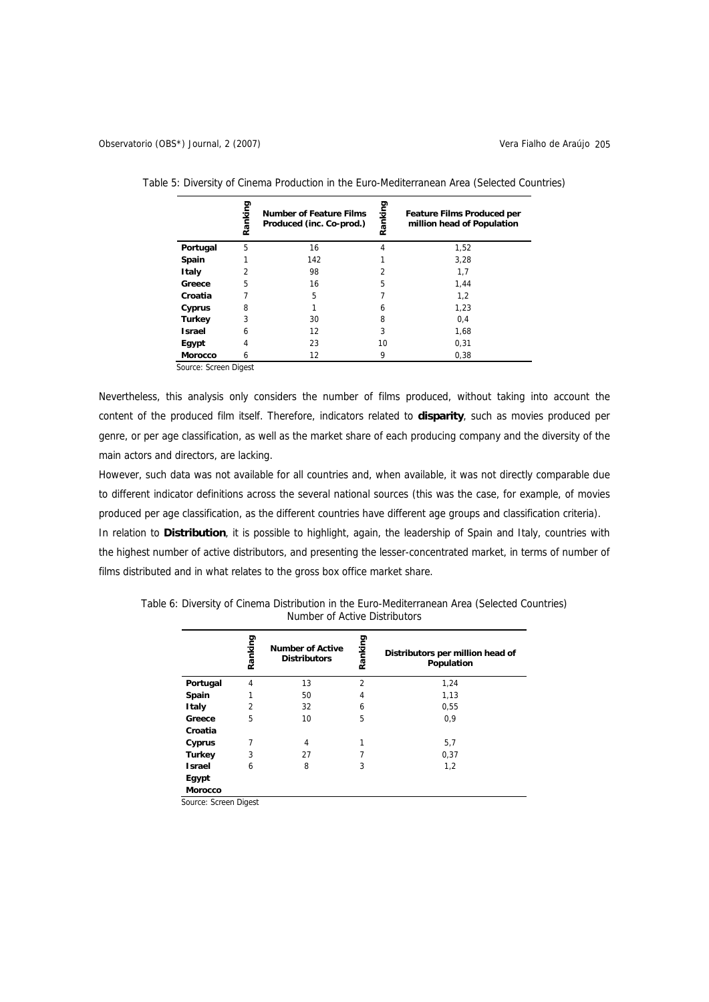|                | Ranking        | <b>Number of Feature Films</b><br>Produced (inc. Co-prod.) | anking<br>œ | <b>Feature Films Produced per</b><br>million head of Population |
|----------------|----------------|------------------------------------------------------------|-------------|-----------------------------------------------------------------|
| Portugal       | 5              | 16                                                         | 4           | 1,52                                                            |
| Spain          |                | 142                                                        |             | 3,28                                                            |
| Italy          | $\overline{2}$ | 98                                                         | 2           | 1,7                                                             |
| Greece         | 5              | 16                                                         | 5           | 1,44                                                            |
| Croatia        |                | 5                                                          |             | 1,2                                                             |
| Cyprus         | 8              |                                                            | 6           | 1,23                                                            |
| <b>Turkey</b>  | 3              | 30                                                         | 8           | 0,4                                                             |
| <b>Israel</b>  | 6              | 12                                                         | 3           | 1,68                                                            |
| Egypt          | 4              | 23                                                         | 10          | 0,31                                                            |
| <b>Morocco</b> | 6              | 12                                                         | 9           | 0,38                                                            |

Table 5: Diversity of Cinema Production in the Euro-Mediterranean Area (Selected Countries)

Source: Screen Digest

Nevertheless, this analysis only considers the number of films produced, without taking into account the content of the produced film itself. Therefore, indicators related to **disparity**, such as movies produced per genre, or per age classification, as well as the market share of each producing company and the diversity of the main actors and directors, are lacking.

However, such data was not available for all countries and, when available, it was not directly comparable due to different indicator definitions across the several national sources (this was the case, for example, of movies produced per age classification, as the different countries have different age groups and classification criteria). In relation to **Distribution**, it is possible to highlight, again, the leadership of Spain and Italy, countries with the highest number of active distributors, and presenting the lesser-concentrated market, in terms of number of films distributed and in what relates to the gross box office market share.

|                | Ranking        | <b>Number of Active</b> | Ranking        | Distributors per million head of |
|----------------|----------------|-------------------------|----------------|----------------------------------|
|                |                | <b>Distributors</b>     |                | Population                       |
| Portugal       | 4              | 13                      | $\overline{2}$ | 1,24                             |
| Spain          |                | 50                      | 4              | 1,13                             |
| <b>Italy</b>   | $\overline{2}$ | 32                      | 6              | 0,55                             |
| Greece         | 5              | 10                      | 5              | 0,9                              |
| Croatia        |                |                         |                |                                  |
| Cyprus         | 7              | 4                       |                | 5,7                              |
| <b>Turkey</b>  | 3              | 27                      |                | 0,37                             |
| <b>Israel</b>  | 6              | 8                       | 3              | 1,2                              |
| Egypt          |                |                         |                |                                  |
| <b>Morocco</b> |                |                         |                |                                  |

Table 6: Diversity of Cinema Distribution in the Euro-Mediterranean Area (Selected Countries) Number of Active Distributors

Source: Screen Digest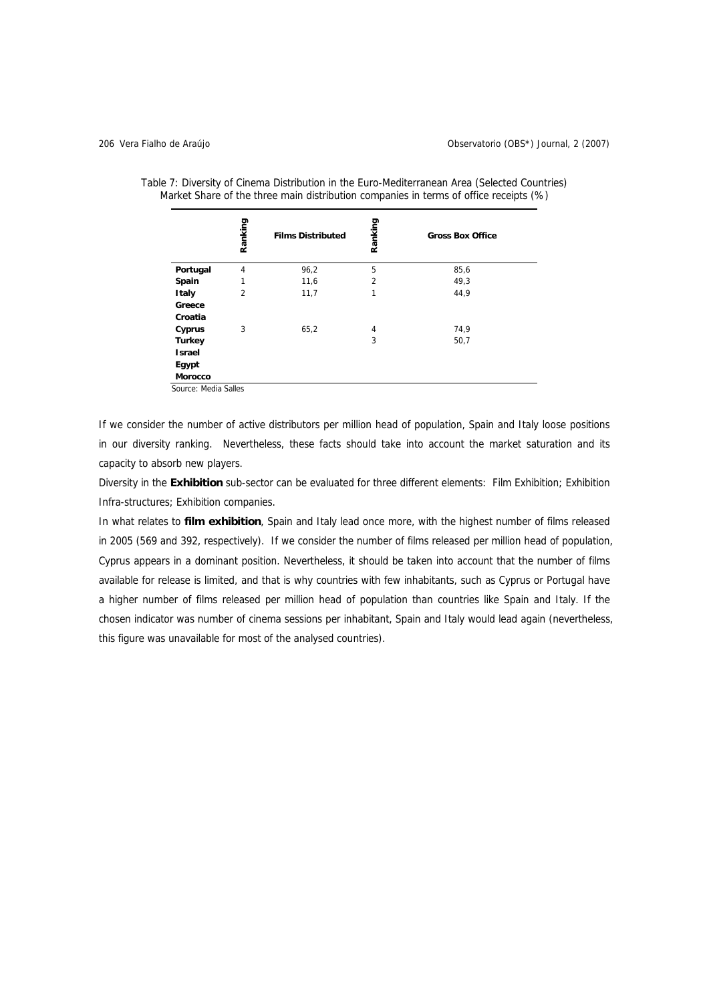|                  | Ranking | <b>Films Distributed</b> | Ranking        | <b>Gross Box Office</b> |
|------------------|---------|--------------------------|----------------|-------------------------|
| Portugal         | 4       | 96,2                     | 5              | 85,6                    |
| Spain            | 1       | 11,6                     | $\overline{2}$ | 49,3                    |
| <b>Italy</b>     | 2       | 11,7                     | 1              | 44,9                    |
| Greece           |         |                          |                |                         |
| Croatia          |         |                          |                |                         |
| Cyprus           | 3       | 65,2                     | 4              | 74,9                    |
| <b>Turkey</b>    |         |                          | 3              | 50,7                    |
| <b>Israel</b>    |         |                          |                |                         |
| Egypt<br>Morocco |         |                          |                |                         |

Table 7: Diversity of Cinema Distribution in the Euro-Mediterranean Area (Selected Countries) Market Share of the three main distribution companies in terms of office receipts (%)

Source: Media Salles

If we consider the number of active distributors per million head of population, Spain and Italy loose positions in our diversity ranking. Nevertheless, these facts should take into account the market saturation and its capacity to absorb new players.

Diversity in the **Exhibition** sub-sector can be evaluated for three different elements: Film Exhibition; Exhibition Infra-structures; Exhibition companies.

In what relates to **film exhibition**, Spain and Italy lead once more, with the highest number of films released in 2005 (569 and 392, respectively). If we consider the number of films released per million head of population, Cyprus appears in a dominant position. Nevertheless, it should be taken into account that the number of films available for release is limited, and that is why countries with few inhabitants, such as Cyprus or Portugal have a higher number of films released per million head of population than countries like Spain and Italy. If the chosen indicator was number of cinema sessions per inhabitant, Spain and Italy would lead again (nevertheless, this figure was unavailable for most of the analysed countries).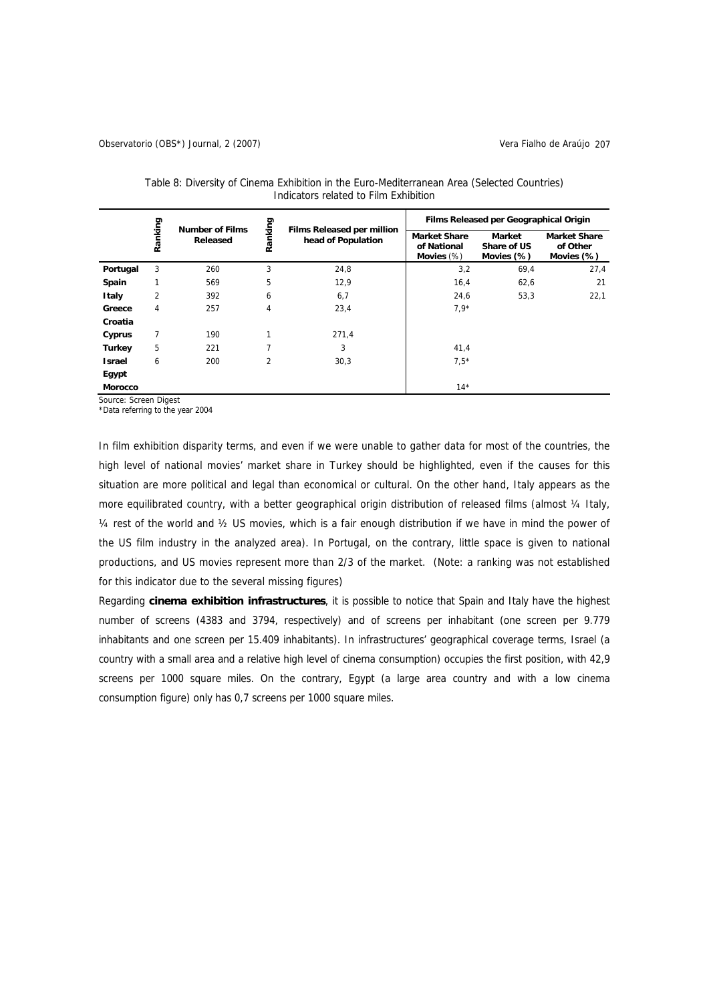|               |                |                                    |                |                                                  | Films Released per Geographical Origin              |                                     |                                               |  |
|---------------|----------------|------------------------------------|----------------|--------------------------------------------------|-----------------------------------------------------|-------------------------------------|-----------------------------------------------|--|
|               | Ranking        | <b>Number of Films</b><br>Released | Ranking        | Films Released per million<br>head of Population | <b>Market Share</b><br>of National<br>Movies $(\%)$ | Market<br>Share of US<br>Movies (%) | <b>Market Share</b><br>of Other<br>Movies (%) |  |
| Portugal      | 3              | 260                                | 3              | 24,8                                             | 3,2                                                 | 69,4                                | 27,4                                          |  |
| Spain         | 1              | 569                                | 5              | 12,9                                             | 16,4                                                | 62,6                                | 21                                            |  |
| Italy         | $\overline{2}$ | 392                                | 6              | 6,7                                              | 24,6                                                | 53,3                                | 22,1                                          |  |
| Greece        | 4              | 257                                | 4              | 23,4                                             | $7,9*$                                              |                                     |                                               |  |
| Croatia       |                |                                    |                |                                                  |                                                     |                                     |                                               |  |
| Cyprus        | 7              | 190                                | 1              | 271,4                                            |                                                     |                                     |                                               |  |
| <b>Turkey</b> | 5              | 221                                |                | 3                                                | 41,4                                                |                                     |                                               |  |
| <b>Israel</b> | 6              | 200                                | $\overline{2}$ | 30,3                                             | $7,5*$                                              |                                     |                                               |  |
| Egypt         |                |                                    |                |                                                  |                                                     |                                     |                                               |  |
| Morocco       |                |                                    |                |                                                  | $14*$                                               |                                     |                                               |  |

Table 8: Diversity of Cinema Exhibition in the Euro-Mediterranean Area (Selected Countries) Indicators related to Film Exhibition

Source: Screen Digest

\*Data referring to the year 2004

In film exhibition disparity terms, and even if we were unable to gather data for most of the countries, the high level of national movies' market share in Turkey should be highlighted, even if the causes for this situation are more political and legal than economical or cultural. On the other hand, Italy appears as the more equilibrated country, with a better geographical origin distribution of released films (almost 1/4 Italy, ¼ rest of the world and ½ US movies, which is a fair enough distribution if we have in mind the power of the US film industry in the analyzed area). In Portugal, on the contrary, little space is given to national productions, and US movies represent more than 2/3 of the market. (Note: a ranking was not established for this indicator due to the several missing figures)

Regarding **cinema exhibition infrastructures**, it is possible to notice that Spain and Italy have the highest number of screens (4383 and 3794, respectively) and of screens per inhabitant (one screen per 9.779 inhabitants and one screen per 15.409 inhabitants). In infrastructures' geographical coverage terms, Israel (a country with a small area and a relative high level of cinema consumption) occupies the first position, with 42,9 screens per 1000 square miles. On the contrary, Egypt (a large area country and with a low cinema consumption figure) only has 0,7 screens per 1000 square miles.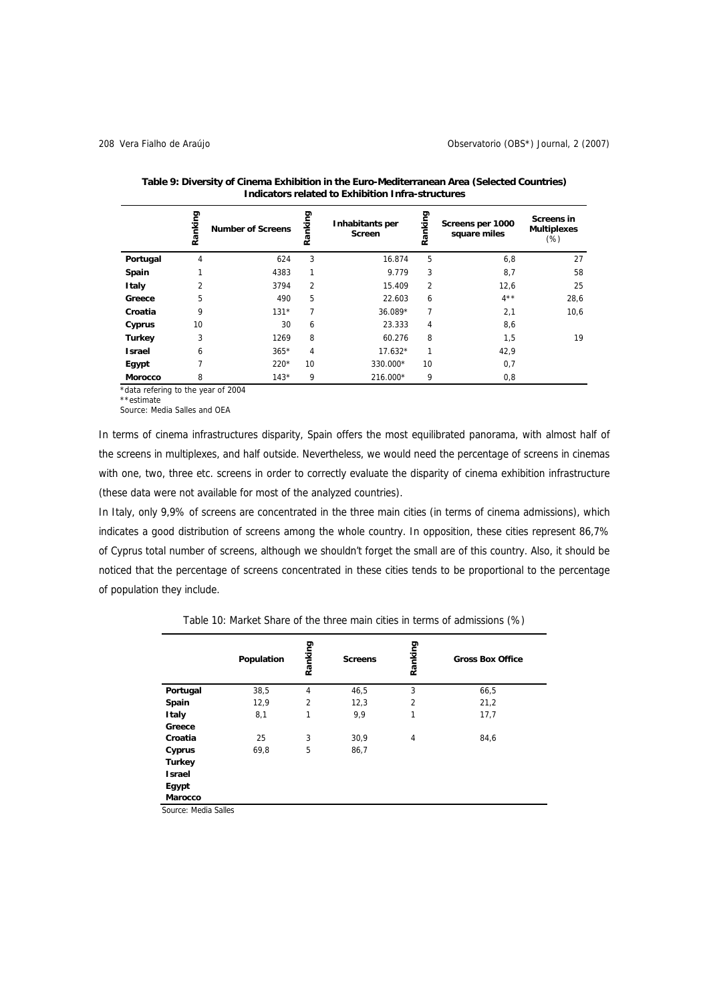|               | Ranking        | <b>Number of Screens</b> | Ranking        | Inhabitants per<br>Screen | Ranking        | Screens per 1000<br>square miles | <b>Screens in</b><br><b>Multiplexes</b><br>$(\%)$ |
|---------------|----------------|--------------------------|----------------|---------------------------|----------------|----------------------------------|---------------------------------------------------|
| Portugal      | 4              | 624                      | 3              | 16.874                    | 5              | 6,8                              | 27                                                |
| Spain         | 1              | 4383                     | 1              | 9.779                     | 3              | 8,7                              | 58                                                |
| <b>Italy</b>  | $\overline{2}$ | 3794                     | $\overline{2}$ | 15.409                    | $\overline{2}$ | 12,6                             | 25                                                |
| Greece        | 5              | 490                      | 5              | 22.603                    | 6              | $4***$                           | 28,6                                              |
| Croatia       | 9              | $131*$                   | 7              | 36.089*                   | 7              | 2,1                              | 10,6                                              |
| Cyprus        | 10             | 30                       | 6              | 23.333                    | 4              | 8,6                              |                                                   |
| <b>Turkey</b> | 3              | 1269                     | 8              | 60.276                    | 8              | 1,5                              | 19                                                |
| <b>Israel</b> | 6              | $365*$                   | 4              | $17.632*$                 | 1              | 42,9                             |                                                   |
| Egypt         | 7              | $220*$                   | 10             | 330.000*                  | 10             | 0,7                              |                                                   |
| Morocco       | 8              | $143*$                   | 9              | 216.000*                  | 9              | 0,8                              |                                                   |

**Table 9: Diversity of Cinema Exhibition in the Euro-Mediterranean Area (Selected Countries) Indicators related to Exhibition Infra-structures** 

\*data refering to the year of 2004

\*\*estimate Source: Media Salles and OEA

In terms of cinema infrastructures disparity, Spain offers the most equilibrated panorama, with almost half of the screens in multiplexes, and half outside. Nevertheless, we would need the percentage of screens in cinemas with one, two, three etc. screens in order to correctly evaluate the disparity of cinema exhibition infrastructure (these data were not available for most of the analyzed countries).

In Italy, only 9,9% of screens are concentrated in the three main cities (in terms of cinema admissions), which indicates a good distribution of screens among the whole country. In opposition, these cities represent 86,7% of Cyprus total number of screens, although we shouldn't forget the small are of this country. Also, it should be noticed that the percentage of screens concentrated in these cities tends to be proportional to the percentage of population they include.

|               | Population | Ranking        | <b>Screens</b> | Ranking        | <b>Gross Box Office</b> |
|---------------|------------|----------------|----------------|----------------|-------------------------|
| Portugal      | 38,5       | 4              | 46,5           | 3              | 66,5                    |
| Spain         | 12,9       | $\overline{2}$ | 12,3           | $\overline{2}$ | 21,2                    |
| <b>Italy</b>  | 8,1        | 1              | 9,9            | 1              | 17,7                    |
| Greece        |            |                |                |                |                         |
| Croatia       | 25         | 3              | 30,9           | 4              | 84,6                    |
| Cyprus        | 69,8       | 5              | 86,7           |                |                         |
| <b>Turkey</b> |            |                |                |                |                         |
| <b>Israel</b> |            |                |                |                |                         |
| Egypt         |            |                |                |                |                         |
| Marocco       |            |                |                |                |                         |

Table 10: Market Share of the three main cities in terms of admissions (%)

Source: Media Salles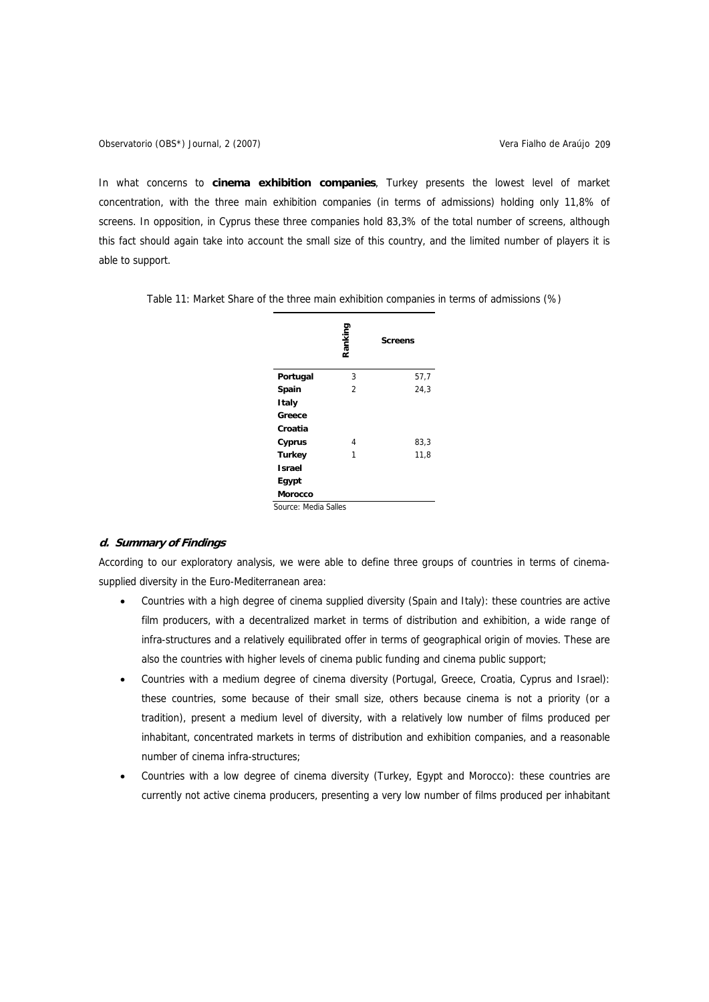In what concerns to **cinema exhibition companies**, Turkey presents the lowest level of market concentration, with the three main exhibition companies (in terms of admissions) holding only 11,8% of screens. In opposition, in Cyprus these three companies hold 83,3% of the total number of screens, although this fact should again take into account the small size of this country, and the limited number of players it is able to support.

| Ranking        | <b>Screens</b> |
|----------------|----------------|
| 3              | 57,7           |
| $\overline{2}$ | 24,3           |
|                |                |
|                |                |
|                |                |
| 4              | 83,3           |
| 1              | 11,8           |
|                |                |
|                |                |
|                |                |
|                |                |

Table 11: Market Share of the three main exhibition companies in terms of admissions (%)

# **d. Summary of Findings**

According to our exploratory analysis, we were able to define three groups of countries in terms of cinemasupplied diversity in the Euro-Mediterranean area:

- Countries with a high degree of cinema supplied diversity (Spain and Italy): these countries are active film producers, with a decentralized market in terms of distribution and exhibition, a wide range of infra-structures and a relatively equilibrated offer in terms of geographical origin of movies. These are also the countries with higher levels of cinema public funding and cinema public support:
- Countries with a medium degree of cinema diversity (Portugal, Greece, Croatia, Cyprus and Israel): these countries, some because of their small size, others because cinema is not a priority (or a tradition), present a medium level of diversity, with a relatively low number of films produced per inhabitant, concentrated markets in terms of distribution and exhibition companies, and a reasonable number of cinema infra-structures;
- Countries with a low degree of cinema diversity (Turkey, Egypt and Morocco): these countries are currently not active cinema producers, presenting a very low number of films produced per inhabitant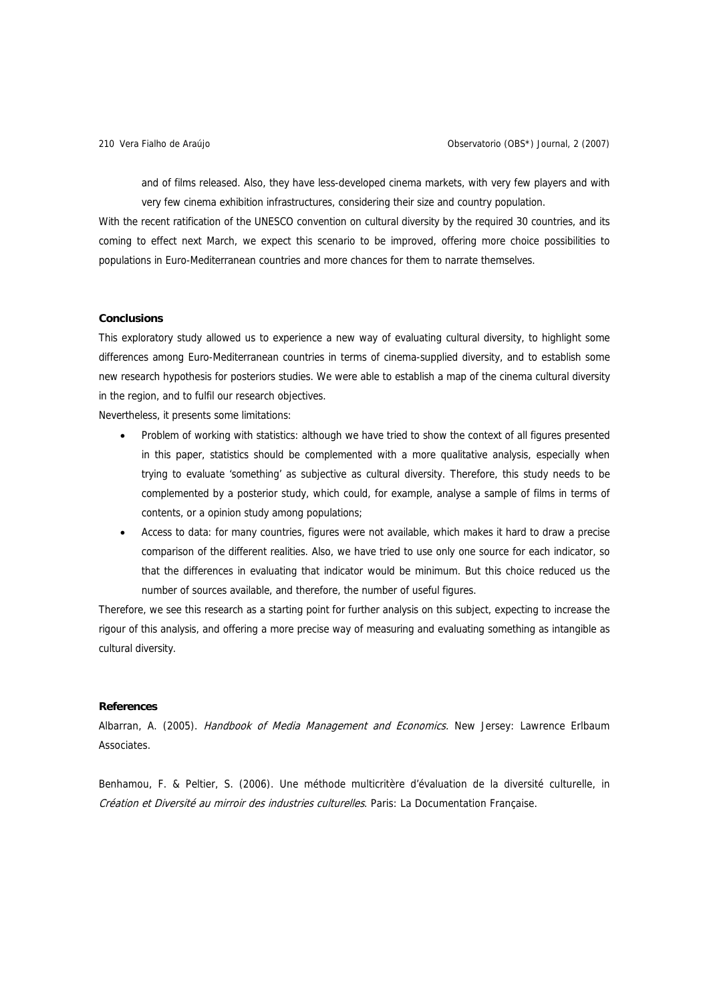and of films released. Also, they have less-developed cinema markets, with very few players and with very few cinema exhibition infrastructures, considering their size and country population.

With the recent ratification of the UNESCO convention on cultural diversity by the required 30 countries, and its coming to effect next March, we expect this scenario to be improved, offering more choice possibilities to populations in Euro-Mediterranean countries and more chances for them to narrate themselves.

## **Conclusions**

This exploratory study allowed us to experience a new way of evaluating cultural diversity, to highlight some differences among Euro-Mediterranean countries in terms of cinema-supplied diversity, and to establish some new research hypothesis for posteriors studies. We were able to establish a map of the cinema cultural diversity in the region, and to fulfil our research objectives.

Nevertheless, it presents some limitations:

- Problem of working with statistics: although we have tried to show the context of all figures presented in this paper, statistics should be complemented with a more qualitative analysis, especially when trying to evaluate 'something' as subjective as cultural diversity. Therefore, this study needs to be complemented by a posterior study, which could, for example, analyse a sample of films in terms of contents, or a opinion study among populations;
- Access to data: for many countries, figures were not available, which makes it hard to draw a precise comparison of the different realities. Also, we have tried to use only one source for each indicator, so that the differences in evaluating that indicator would be minimum. But this choice reduced us the number of sources available, and therefore, the number of useful figures.

Therefore, we see this research as a starting point for further analysis on this subject, expecting to increase the rigour of this analysis, and offering a more precise way of measuring and evaluating something as intangible as cultural diversity.

#### **References**

Albarran, A. (2005). Handbook of Media Management and Economics. New Jersey: Lawrence Erlbaum Associates.

Benhamou, F. & Peltier, S. (2006). Une méthode multicritère d'évaluation de la diversité culturelle, in Création et Diversité au mirroir des industries culturelles. Paris: La Documentation Française.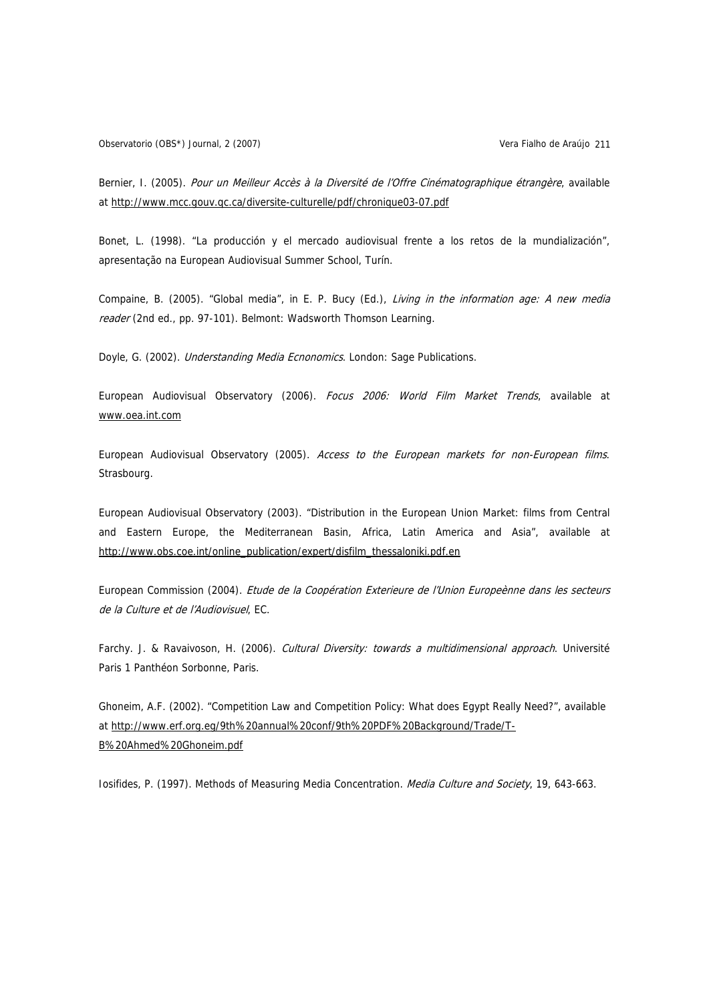Observatorio (OBS\*) Journal, 2 (2007) Vera Fialho de Araújo 211

Bernier, I. (2005). Pour un Meilleur Accès à la Diversité de l'Offre Cinématographique étrangère, available at <http://www.mcc.gouv.qc.ca/diversite-culturelle/pdf/chronique03-07.pdf>

Bonet, L. (1998). "La producción y el mercado audiovisual frente a los retos de la mundialización", apresentação na European Audiovisual Summer School, Turín.

Compaine, B. (2005). "Global media", in E. P. Bucy (Ed.), Living in the information age: A new media reader (2nd ed., pp. 97-101). Belmont: Wadsworth Thomson Learning.

Doyle, G. (2002). *Understanding Media Ecnonomics*. London: Sage Publications.

European Audiovisual Observatory (2006). Focus 2006: World Film Market Trends, available at [www.oea.int.com](http://www.oea.int.com/)

European Audiovisual Observatory (2005). Access to the European markets for non-European films. Strasbourg.

European Audiovisual Observatory (2003). "Distribution in the European Union Market: films from Central and Eastern Europe, the Mediterranean Basin, Africa, Latin America and Asia", available at [http://www.obs.coe.int/online\\_publication/expert/disfilm\\_thessaloniki.pdf.en](http://www.obs.coe.int/online_publication/expert/disfilm_thessaloniki.pdf.en)

European Commission (2004). Etude de la Coopération Exterieure de l'Union Europeènne dans les secteurs de la Culture et de l'Audiovisuel, EC.

Farchy. J. & Ravaivoson, H. (2006). Cultural Diversity: towards a multidimensional approach. Université Paris 1 Panthéon Sorbonne, Paris.

Ghoneim, A.F. (2002). "Competition Law and Competition Policy: What does Egypt Really Need?", available at [http://www.erf.org.eg/9th%20annual%20conf/9th%20PDF%20Background/Trade/T-](http://www.erf.org.eg/9th%20annual%20conf/9th%20PDF%20Background/Trade/T-B%20Ahmed%20Ghoneim.pdf)[B%20Ahmed%20Ghoneim.pdf](http://www.erf.org.eg/9th%20annual%20conf/9th%20PDF%20Background/Trade/T-B%20Ahmed%20Ghoneim.pdf)

Iosifides, P. (1997). Methods of Measuring Media Concentration. Media Culture and Society, 19, 643-663.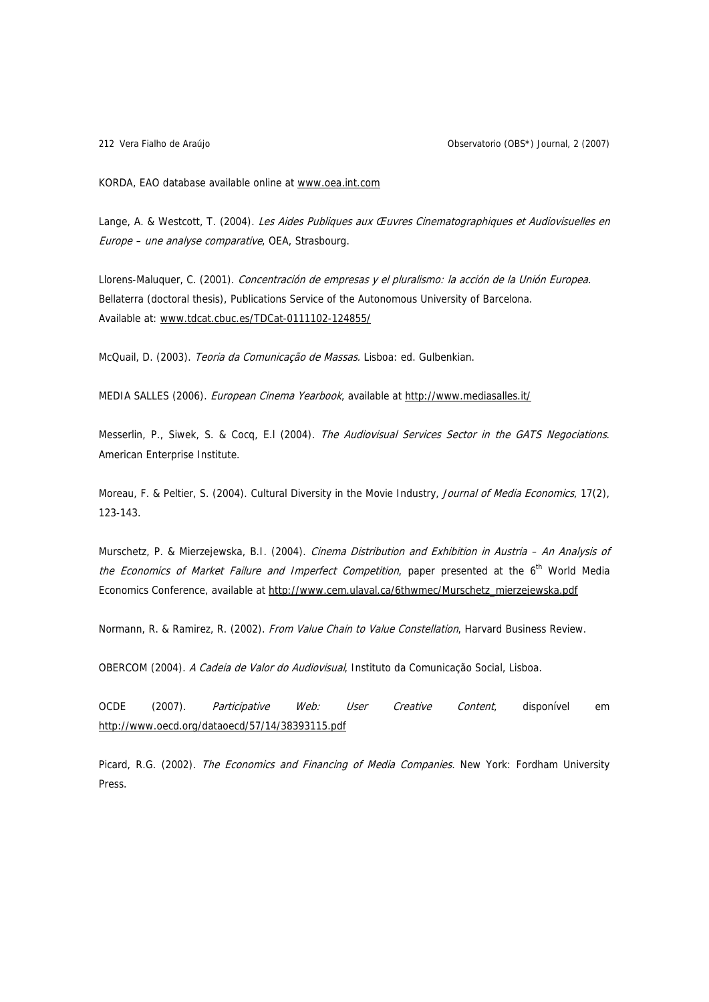Vera Fialho de Araújo 212 Observatorio (OBS\*) Journal, 2 (2007)

KORDA, EAO database available online at [www.oea.int.com](http://www.oea.int.com/)

Lange, A. & Westcott, T. (2004). Les Aides Publiques aux Œuvres Cinematographiques et Audiovisuelles en Europe – une analyse comparative, OEA, Strasbourg.

Llorens-Maluquer, C. (2001). Concentración de empresas y el pluralismo: la acción de la Unión Europea. Bellaterra (doctoral thesis), Publications Service of the Autonomous University of Barcelona. Available at: [www.tdcat.cbuc.es/TDCat-0111102-124855/](http://www.tdcat.cbuc.es/TDCat-0111102-124855/)

McQuail, D. (2003). Teoria da Comunicação de Massas. Lisboa: ed. Gulbenkian.

MEDIA SALLES (2006). European Cinema Yearbook, available at<http://www.mediasalles.it/>

Messerlin, P., Siwek, S. & Cocq, E.I (2004). The Audiovisual Services Sector in the GATS Negociations. American Enterprise Institute.

Moreau, F. & Peltier, S. (2004). Cultural Diversity in the Movie Industry, Journal of Media Economics, 17(2), 123-143.

Murschetz, P. & Mierzejewska, B.I. (2004). Cinema Distribution and Exhibition in Austria - An Analysis of the Economics of Market Failure and Imperfect Competition, paper presented at the  $6<sup>th</sup>$  World Media Economics Conference, available at [http://www.cem.ulaval.ca/6thwmec/Murschetz\\_mierzejewska.pdf](http://www.cem.ulaval.ca/6thwmec/Murschetz_mierzejewska.pdf)

Normann, R. & Ramirez, R. (2002). From Value Chain to Value Constellation, Harvard Business Review.

OBERCOM (2004). A Cadeia de Valor do Audiovisual, Instituto da Comunicação Social, Lisboa.

OCDE (2007). Participative Web: User Creative Content, disponível em <http://www.oecd.org/dataoecd/57/14/38393115.pdf>

Picard, R.G. (2002). *The Economics and Financing of Media Companies*. New York: Fordham University Press.